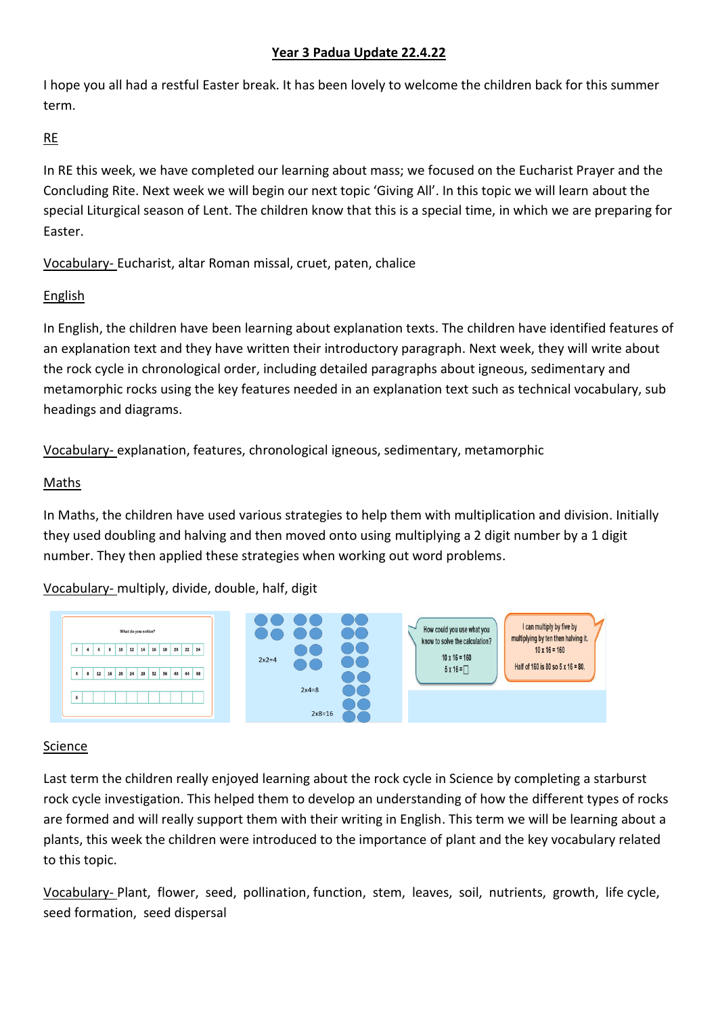## **Year 3 Padua Update 22.4.22**

I hope you all had a restful Easter break. It has been lovely to welcome the children back for this summer term.

## RE

In RE this week, we have completed our learning about mass; we focused on the Eucharist Prayer and the Concluding Rite. Next week we will begin our next topic 'Giving All'. In this topic we will learn about the special Liturgical season of Lent. The children know that this is a special time, in which we are preparing for Easter.

Vocabulary- Eucharist, altar Roman missal, cruet, paten, chalice

# English

In English, the children have been learning about explanation texts. The children have identified features of an explanation text and they have written their introductory paragraph. Next week, they will write about the rock cycle in chronological order, including detailed paragraphs about igneous, sedimentary and metamorphic rocks using the key features needed in an explanation text such as technical vocabulary, sub headings and diagrams.

Vocabulary- explanation, features, chronological igneous, sedimentary, metamorphic

## Maths

In Maths, the children have used various strategies to help them with multiplication and division. Initially they used doubling and halving and then moved onto using multiplying a 2 digit number by a 1 digit number. They then applied these strategies when working out word problems.

Vocabulary- multiply, divide, double, half, digit



#### Science

Last term the children really enjoyed learning about the rock cycle in Science by completing a starburst rock cycle investigation. This helped them to develop an understanding of how the different types of rocks are formed and will really support them with their writing in English. This term we will be learning about a plants, this week the children were introduced to the importance of plant and the key vocabulary related to this topic.

Vocabulary- Plant, flower, seed, pollination, function, stem, leaves, soil, nutrients, growth, life cycle, seed formation, seed dispersal